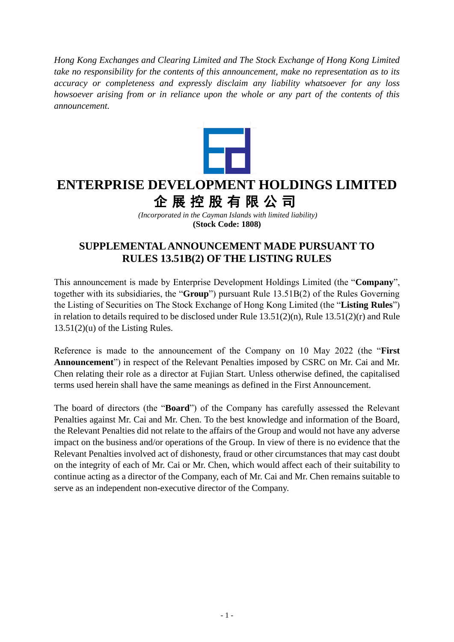*Hong Kong Exchanges and Clearing Limited and The Stock Exchange of Hong Kong Limited take no responsibility for the contents of this announcement, make no representation as to its accuracy or completeness and expressly disclaim any liability whatsoever for any loss howsoever arising from or in reliance upon the whole or any part of the contents of this announcement.*



## **ENTERPRISE DEVELOPMENT HOLDINGS LIMITED** 企展控股有限公司

*(Incorporated in the Cayman Islands with limited liability)* **(Stock Code: 1808)**

## **SUPPLEMENTAL ANNOUNCEMENT MADE PURSUANT TO RULES 13.51B(2) OF THE LISTING RULES**

This announcement is made by Enterprise Development Holdings Limited (the "**Company**", together with its subsidiaries, the "**Group**") pursuant Rule 13.51B(2) of the Rules Governing the Listing of Securities on The Stock Exchange of Hong Kong Limited (the "**Listing Rules**") in relation to details required to be disclosed under Rule 13.51(2)(n), Rule 13.51(2)(r) and Rule  $13.51(2)(u)$  of the Listing Rules.

Reference is made to the announcement of the Company on 10 May 2022 (the "**First Announcement**") in respect of the Relevant Penalties imposed by CSRC on Mr. Cai and Mr. Chen relating their role as a director at Fujian Start. Unless otherwise defined, the capitalised terms used herein shall have the same meanings as defined in the First Announcement.

The board of directors (the "**Board**") of the Company has carefully assessed the Relevant Penalties against Mr. Cai and Mr. Chen. To the best knowledge and information of the Board, the Relevant Penalties did not relate to the affairs of the Group and would not have any adverse impact on the business and/or operations of the Group. In view of there is no evidence that the Relevant Penalties involved act of dishonesty, fraud or other circumstances that may cast doubt on the integrity of each of Mr. Cai or Mr. Chen, which would affect each of their suitability to continue acting as a director of the Company, each of Mr. Cai and Mr. Chen remains suitable to serve as an independent non-executive director of the Company.